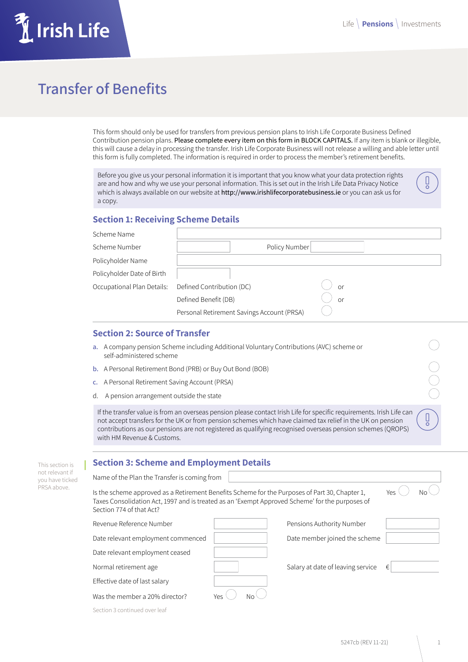ă

 $\begin{matrix} 0 \\ 0 \\ 0 \\ 0 \end{matrix}$ 

 $\begin{pmatrix} 0 \\ 0 \end{pmatrix}$ 

# **Irish Life**

# **Transfer of Benefits**

This form should only be used for transfers from previous pension plans to Irish Life Corporate Business Defined Contribution pension plans. Please complete every item on this form in BLOCK CAPITALS. If any item is blank or illegible, this will cause a delay in processing the transfer. Irish Life Corporate Business will not release a willing and able letter until this form is fully completed. The information is required in order to process the member's retirement benefits.

Before you give us your personal information it is important that you know what your data protection rights are and how and why we use your personal information. This is set out in the Irish Life Data Privacy Notice which is always available on our website at http://www.irishlifecorporatebusiness.ie or you can ask us for a copy.

#### **Section 1: Receiving Scheme Details**

| Scheme Name                |                                            |    |
|----------------------------|--------------------------------------------|----|
| Scheme Number              | Policy Number                              |    |
| Policyholder Name          |                                            |    |
| Policyholder Date of Birth |                                            |    |
| Occupational Plan Details: | Defined Contribution (DC)                  | or |
|                            | Defined Benefit (DB)                       | or |
|                            | Personal Retirement Savings Account (PRSA) |    |

#### **Section 2: Source of Transfer**

- **a.** A company pension Scheme including Additional Voluntary Contributions (AVC) scheme or self-administered scheme
- **b.** A Personal Retirement Bond (PRB) or Buy Out Bond (BOB)
- **c.** A Personal Retirement Saving Account (PRSA)
- d. A pension arrangement outside the state

If the transfer value is from an overseas pension please contact Irish Life for specific requirements. Irish Life can not accept transfers for the UK or from pension schemes which have claimed tax relief in the UK on pension contributions as our pensions are not registered as qualifying recognised overseas pension schemes (QROPS) with HM Revenue & Customs.

| This section is                    | <b>Section 3: Scheme and Employment Details</b>                                                                                                                                                                               |           |                                   |     |    |  |  |
|------------------------------------|-------------------------------------------------------------------------------------------------------------------------------------------------------------------------------------------------------------------------------|-----------|-----------------------------------|-----|----|--|--|
| not relevant if<br>you have ticked | Name of the Plan the Transfer is coming from                                                                                                                                                                                  |           |                                   |     |    |  |  |
| PRSA above.                        | Is the scheme approved as a Retirement Benefits Scheme for the Purposes of Part 30, Chapter 1,<br>Taxes Consolidation Act, 1997 and is treated as an 'Exempt Approved Scheme' for the purposes of<br>Section 774 of that Act? |           |                                   | Yes | No |  |  |
|                                    | Revenue Reference Number                                                                                                                                                                                                      |           | Pensions Authority Number         |     |    |  |  |
|                                    | Date relevant employment commenced                                                                                                                                                                                            |           | Date member joined the scheme     |     |    |  |  |
|                                    | Date relevant employment ceased                                                                                                                                                                                               |           |                                   |     |    |  |  |
|                                    | Normal retirement age                                                                                                                                                                                                         |           | Salary at date of leaving service | €   |    |  |  |
|                                    | Effective date of last salary                                                                                                                                                                                                 |           |                                   |     |    |  |  |
|                                    | Was the member a 20% director?                                                                                                                                                                                                | Yes<br>Nο |                                   |     |    |  |  |

Section 3 continued over leaf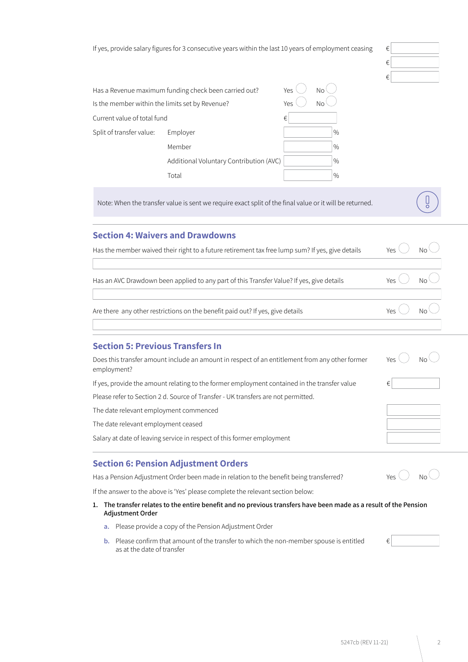If yes, provide salary figures for 3 consecutive years within the last 10 years of employment ceasing

| ive years within the last 10 years of employment ceasing | € |  |
|----------------------------------------------------------|---|--|
|                                                          | € |  |
|                                                          | € |  |

|                                                        | Has a Revenue maximum funding check been carried out? | Yes | No.           |
|--------------------------------------------------------|-------------------------------------------------------|-----|---------------|
| Is the member within the limits set by Revenue?<br>Yes |                                                       |     | Nο            |
| Current value of total fund                            |                                                       | €   |               |
| Split of transfer value:                               | Employer                                              |     | $\frac{0}{0}$ |
|                                                        | Member                                                |     | $\frac{0}{0}$ |
|                                                        | Additional Voluntary Contribution (AVC)               |     | $\%$          |
|                                                        | Total                                                 |     | $\frac{0}{0}$ |

Note: When the transfer value is sent we require exact split of the final value or it will be returned.

### **Section 4: Waivers and Drawdowns**

| Has the member waived their right to a future retirement tax free lump sum? If yes, give details | <b>Yes</b>                   | No                                                   |
|--------------------------------------------------------------------------------------------------|------------------------------|------------------------------------------------------|
| Has an AVC Drawdown been applied to any part of this Transfer Value? If yes, give details        | Yes $\langle \rangle$        | $\overline{\phantom{a}}$ No $\overline{\phantom{a}}$ |
| Are there any other restrictions on the benefit paid out? If yes, give details                   | Yes $\bigcirc$ No $\bigcirc$ |                                                      |
|                                                                                                  |                              |                                                      |

## **Section 5: Previous Transfers In**

| Does this transfer amount include an amount in respect of an entitlement from any other former<br>employment? | Yes. | N٥ |
|---------------------------------------------------------------------------------------------------------------|------|----|
| If yes, provide the amount relating to the former employment contained in the transfer value                  | €    |    |
| Please refer to Section 2 d. Source of Transfer - UK transfers are not permitted.                             |      |    |
| The date relevant employment commenced                                                                        |      |    |
| The date relevant employment ceased                                                                           |      |    |
| Salary at date of leaving service in respect of this former employment                                        |      |    |
|                                                                                                               |      |    |

#### **Section 6: Pension Adjustment Orders**

Has a Pension Adjustment Order been made in relation to the benefit being transferred? Yes  $\bigcirc$  No

If the answer to the above is 'Yes' please complete the relevant section below:

- **1. The transfer relates to the entire benefit and no previous transfers have been made as a result of the Pension Adjustment Order**
	- **a.** Please provide a copy of the Pension Adjustment Order
	- **b.** Please confirm that amount of the transfer to which the non-member spouse is entitled  $\epsilon$ as at the date of transfer